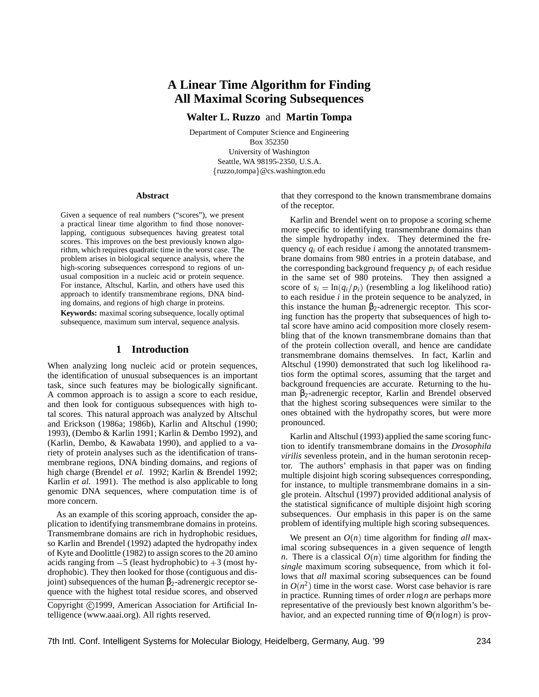# **A Linear Time Algorithm for Finding All Maximal Scoring Subsequences**

**Walter L. Ruzzo** and **Martin Tompa**

Department of Computer Science and Engineering Box 352350 University of Washington Seattle, WA 98195-2350, U.S.A.  $\{ruzzo, tompa\} @cs.washington.edu$ 

#### **Abstract**

Given a sequence of real numbers ("scores"), we present a practical linear time algorithm to find those nonoverlapping, contiguous subsequences having greatest total scores. This improves on the best previously known algorithm, which requires quadratic time in the worst case. The problem arises in biological sequence analysis, where the high-scoring subsequences correspond to regions of unusual composition in a nucleic acid or protein sequence. For instance, Altschul, Karlin, and others have used this approach to identify transmembrane regions, DNA binding domains, and regions of high charge in proteins.

**Keywords:** maximal scoring subsequence, locally optimal subsequence, maximum sum interval, sequence analysis.

### **1 Introduction**

When analyzing long nucleic acid or protein sequences, the identification of unusual subsequences is an important task, since such features may be biologically significant. A common approach is to assign a score to each residue, and then look for contiguous subsequences with high total scores. This natural approach was analyzed by Altschul and Erickson (1986a; 1986b), Karlin and Altschul (1990; 1993), (Dembo & Karlin 1991; Karlin & Dembo 1992), and (Karlin, Dembo, & Kawabata 1990), and applied to a variety of protein analyses such as the identification of transmembrane regions, DNA binding domains, and regions of high charge (Brendel *et al.* 1992; Karlin & Brendel 1992; Karlin *et al.* 1991). The method is also applicable to long genomic DNA sequences, where computation time is of more concern.

As an example of this scoring approach, consider the application to identifying transmembrane domains in proteins. Transmembrane domains are rich in hydrophobic residues, so Karlin and Brendel (1992) adapted the hydropathy index of Kyte and Doolittle (1982) to assign scores to the 20 amino acids ranging from  $-5$  (least hydrophobic) to  $+3$  (most hydrophobic). They then looked for those (contiguous and disjoint) subsequences of the human  $β_2$ -adrenergic receptor sequence with the highest total residue scores, and observed

Copyright ©1999, American Association for Artificial Intelligence (www.aaai.org). All rights reserved.

that they correspond to the known transmembrane domains of the receptor.

Karlin and Brendel went on to propose a scoring scheme more specific to identifying transmembrane domains than the simple hydropathy index. They determined the frequency *q<sup>i</sup>* of each residue *i* among the annotated transmembrane domains from 980 entries in a protein database, and the corresponding background frequency  $p_i$  of each residue in the same set of 980 proteins. They then assigned a score of  $s_i = \ln(q_i/p_i)$  (resembling a log likelihood ratio) to each residue *i* in the protein sequence to be analyzed, in this instance the human β<sub>2</sub>-adrenergic receptor. This scoring function has the property that subsequences of high total score have amino acid composition more closely resembling that of the known transmembrane domains than that of the protein collection overall, and hence are candidate transmembrane domains themselves. In fact, Karlin and Altschul (1990) demonstrated that such log likelihood ratios form the optimal scores, assuming that the target and background frequencies are accurate. Returning to the human β2-adrenergic receptor, Karlin and Brendel observed that the highest scoring subsequences were similar to the ones obtained with the hydropathy scores, but were more pronounced.

Karlin and Altschul (1993) applied the same scoring function to identify transmembrane domains in the *Drosophila virilis* sevenless protein, and in the human serotonin receptor. The authors' emphasis in that paper was on finding multiple disjoint high scoring subsequences corresponding, for instance, to multiple transmembrane domains in a single protein. Altschul (1997) provided additional analysis of the statistical significance of multiple disjoint high scoring subsequences. Our emphasis in this paper is on the same problem of identifying multiple high scoring subsequences.

We present an  $O(n)$  time algorithm for finding *all* maximal scoring subsequences in a given sequence of length *n*. There is a classical  $O(n)$  time algorithm for finding the *single* maximum scoring subsequence, from which it follows that *all* maximal scoring subsequences can be found in  $O(n^2)$  time in the worst case. Worst case behavior is rare in practice. Running times of order *n*log*n* are perhaps more representative of the previously best known algorithm's behavior, and an expected running time of Θ(*n*log*n*) is prov-

7th Intl. Conf. Intelligent Systems for Molecular Biology, Heidelberg, Germany, Aug. '99 234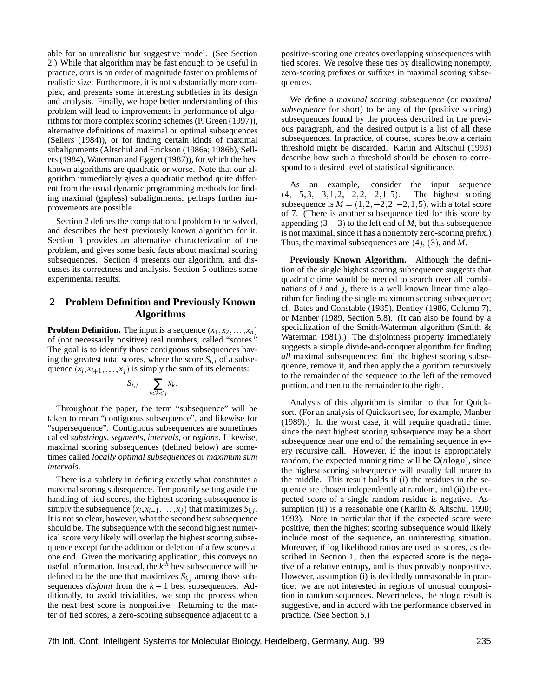able for an unrealistic but suggestive model. (See Section 2.) While that algorithm may be fast enough to be useful in practice, ours is an order of magnitude faster on problems of realistic size. Furthermore, it is not substantially more complex, and presents some interesting subtleties in its design and analysis. Finally, we hope better understanding of this problem will lead to improvements in performance of algorithms for more complex scoring schemes (P. Green (1997)), alternative definitions of maximal or optimal subsequences (Sellers (1984)), or for finding certain kinds of maximal subalignments (Altschul and Erickson (1986a; 1986b), Sellers (1984), Waterman and Eggert (1987)), for which the best known algorithms are quadratic or worse. Note that our algorithm immediately gives a quadratic method quite different from the usual dynamic programming methods for finding maximal (gapless) subalignments; perhaps further improvements are possible.

Section 2 defines the computational problem to be solved, and describes the best previously known algorithm for it. Section 3 provides an alternative characterization of the problem, and gives some basic facts about maximal scoring subsequences. Section 4 presents our algorithm, and discusses its correctness and analysis. Section 5 outlines some experimental results.

## **2 Problem Definition and Previously Known Algorithms**

**Problem Definition.** The input is a sequence  $(x_1, x_2, \ldots, x_n)$ of (not necessarily positive) real numbers, called "scores." The goal is to identify those contiguous subsequences having the greatest total scores, where the score  $S_i$ ; *j* of a subsequence  $(x_i, x_{i+1}, \ldots, x_j)$  is simply the sum of its elements:

$$
S_{i,j} = \sum_{i \leq k \leq j} x_k.
$$

Throughout the paper, the term "subsequence" will be taken to mean "contiguous subsequence", and likewise for "supersequence". Contiguous subsequences are sometimes called *substrings*, *segments*, *intervals*, or *regions*. Likewise, maximal scoring subsequences (defined below) are sometimes called *locally optimal subsequences* or *maximum sum intervals*.

There is a subtlety in defining exactly what constitutes a maximal scoring subsequence. Temporarily setting aside the handling of tied scores, the highest scoring subsequence is simply the subsequence  $(x_i, x_{i+1}, \ldots, x_j)$  that maximizes  $S_{i,j}$ . It is not so clear, however, what the second best subsequence should be. The subsequence with the second highest numerical score very likely will overlap the highest scoring subsequence except for the addition or deletion of a few scores at one end. Given the motivating application, this conveys no useful information. Instead, the  $k^{th}$  best subsequence will be defined to be the one that maximizes  $S_{i,j}$  among those subsequences *disjoint* from the  $k - 1$  best subsequences. Additionally, to avoid trivialities, we stop the process when the next best score is nonpositive. Returning to the matter of tied scores, a zero-scoring subsequence adjacent to a

positive-scoring one creates overlapping subsequences with tied scores. We resolve these ties by disallowing nonempty, zero-scoring prefixes or suffixes in maximal scoring subsequences.

We define a *maximal scoring subsequence* (or *maximal subsequence* for short) to be any of the (positive scoring) subsequences found by the process described in the previous paragraph, and the desired output is a list of all these subsequences. In practice, of course, scores below a certain threshold might be discarded. Karlin and Altschul (1993) describe how such a threshold should be chosen to correspond to a desired level of statistical significance.

As an example, consider the input sequence  $(4, -5, 3, -3, 1, 2, -2, 2, -2, 1, 5)$ . The highest scoring subsequence is  $M = (1, 2, -2, 2, -2, 1, 5)$ , with a total score of 7. (There is another subsequence tied for this score by appending  $(3,-3)$  to the left end of *M*, but this subsequence is not maximal, since it has a nonempty zero-scoring prefix.) Thus, the maximal subsequences are (4), (3), and *M*.

**Previously Known Algorithm.** Although the definition of the single highest scoring subsequence suggests that quadratic time would be needed to search over all combinations of *i* and *j*, there is a well known linear time algorithm for finding the single maximum scoring subsequence; cf. Bates and Constable (1985), Bentley (1986, Column 7), or Manber (1989, Section 5.8). (It can also be found by a specialization of the Smith-Waterman algorithm (Smith & Waterman 1981).) The disjointness property immediately suggests a simple divide-and-conquer algorithm for finding *all* maximal subsequences: find the highest scoring subsequence, remove it, and then apply the algorithm recursively to the remainder of the sequence to the left of the removed portion, and then to the remainder to the right.

Analysis of this algorithm is similar to that for Quicksort. (For an analysis of Quicksort see, for example, Manber (1989).) In the worst case, it will require quadratic time, since the next highest scoring subsequence may be a short subsequence near one end of the remaining sequence in every recursive call. However, if the input is appropriately random, the expected running time will be Θ(*n*log*n*), since the highest scoring subsequence will usually fall nearer to the middle. This result holds if (i) the residues in the sequence are chosen independently at random, and (ii) the expected score of a single random residue is negative. Assumption (ii) is a reasonable one (Karlin & Altschul 1990; 1993). Note in particular that if the expected score were positive, then the highest scoring subsequence would likely include most of the sequence, an uninteresting situation. Moreover, if log likelihood ratios are used as scores, as described in Section 1, then the expected score is the negative of a relative entropy, and is thus provably nonpositive. However, assumption (i) is decidedly unreasonable in practice: we are not interested in regions of unusual composition in random sequences. Nevertheless, the *n*log*n* result is suggestive, and in accord with the performance observed in practice. (See Section 5.)

7th Intl. Conf. Intelligent Systems for Molecular Biology, Heidelberg, Germany, Aug. '99 235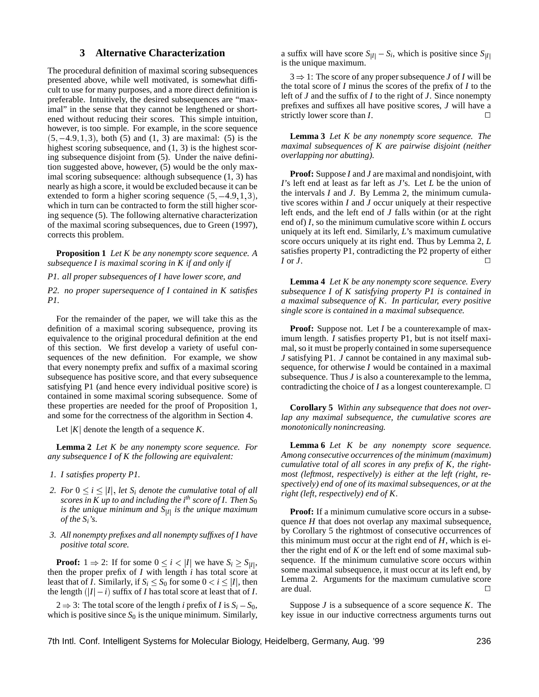## **3 Alternative Characterization**

The procedural definition of maximal scoring subsequences presented above, while well motivated, is somewhat difficult to use for many purposes, and a more direct definition is preferable. Intuitively, the desired subsequences are "maximal" in the sense that they cannot be lengthened or shortened without reducing their scores. This simple intuition, however, is too simple. For example, in the score sequence  $(5, -4.9, 1, 3)$ , both (5) and (1, 3) are maximal: (5) is the highest scoring subsequence, and  $(1, 3)$  is the highest scoring subsequence disjoint from (5). Under the naive definition suggested above, however, (5) would be the only maximal scoring subsequence: although subsequence (1, 3) has nearly as high a score, it would be excluded because it can be extended to form a higher scoring sequence  $(5, -4.9, 1, 3)$ , which in turn can be contracted to form the still higher scoring sequence (5). The following alternative characterization of the maximal scoring subsequences, due to Green (1997), corrects this problem.

**Proposition 1** *Let K be any nonempty score sequence. A subsequence I is maximal scoring in K if and only if*

*P1. all proper subsequences of I have lower score, and*

*P2. no proper supersequence of I contained in K satisfies P1.*

For the remainder of the paper, we will take this as the definition of a maximal scoring subsequence, proving its equivalence to the original procedural definition at the end of this section. We first develop a variety of useful consequences of the new definition. For example, we show that every nonempty prefix and suffix of a maximal scoring subsequence has positive score, and that every subsequence satisfying P1 (and hence every individual positive score) is contained in some maximal scoring subsequence. Some of these properties are needed for the proof of Proposition 1, and some for the correctness of the algorithm in Section 4.

Let  $|K|$  denote the length of a sequence *K*.

**Lemma 2** *Let K be any nonempty score sequence. For any subsequence I of K the following are equivalent:*

- *1. I satisfies property P1.*
- *2. For*  $0 \le i \le |I|$ , *let*  $S_i$  *denote the cumulative total of all scores in K up to and including the ith score of I. Then S*<sup>0</sup> *is the unique minimum and S*j*I*<sup>j</sup> *is the unique maximum of the Si's.*
- *3. All nonempty prefixes and all nonempty suffixes of I have positive total score.*

**Proof:**  $1 \Rightarrow 2$ : If for some  $0 \le i < |I|$  we have  $S_i \ge S_{|I|}$ , then the proper prefix of *I* with length *i* has total score at least that of *I*. Similarly, if  $S_i \leq S_0$  for some  $0 < i \leq |I|$ , then the length  $(|I| - i)$  suffix of *I* has total score at least that of *I*.

 $2 \Rightarrow 3$ : The total score of the length *i* prefix of *I* is  $S_i - S_0$ , which is positive since  $S_0$  is the unique minimum. Similarly,

a suffix will have score  $S_{|I|} - S_i$ , which is positive since  $S_{|I|}$ is the unique maximum.

 $3 \Rightarrow 1$ : The score of any proper subsequence *J* of *I* will be the total score of *I* minus the scores of the prefix of *I* to the left of *J* and the suffix of *I* to the right of *J*. Since nonempty prefixes and suffixes all have positive scores, *J* will have a strictly lower score than  $I$ .

**Lemma 3** *Let K be any nonempty score sequence. The maximal subsequences of K are pairwise disjoint (neither overlapping nor abutting).*

**Proof:** Suppose *I* and *J* are maximal and nondisjoint, with *I*'s left end at least as far left as *J*'s. Let *L* be the union of the intervals *I* and *J*. By Lemma 2, the minimum cumulative scores within *I* and *J* occur uniquely at their respective left ends, and the left end of *J* falls within (or at the right end of) *I*, so the minimum cumulative score within *L* occurs uniquely at its left end. Similarly, *L*'s maximum cumulative score occurs uniquely at its right end. Thus by Lemma 2, *L* satisfies property P1, contradicting the P2 property of either  $I$  or  $J$ .

**Lemma 4** *Let K be any nonempty score sequence. Every subsequence I of K satisfying property P1 is contained in a maximal subsequence of K. In particular, every positive single score is contained in a maximal subsequence.*

**Proof:** Suppose not. Let *I* be a counterexample of maximum length. *I* satisfies property P1, but is not itself maximal, so it must be properly contained in some supersequence *J* satisfying P1. *J* cannot be contained in any maximal subsequence, for otherwise *I* would be contained in a maximal subsequence. Thus *J* is also a counterexample to the lemma, contradicting the choice of *I* as a longest counterexample.  $\Box$ 

**Corollary 5** *Within any subsequence that does not overlap any maximal subsequence, the cumulative scores are monotonically nonincreasing.*

**Lemma 6** *Let K be any nonempty score sequence. Among consecutive occurrences of the minimum (maximum) cumulative total of all scores in any prefix of K, the rightmost (leftmost, respectively) is either at the left (right, respectively) end of one of its maximal subsequences, or at the right (left, respectively) end of K.*

**Proof:** If a minimum cumulative score occurs in a subsequence *H* that does not overlap any maximal subsequence, by Corollary 5 the rightmost of consecutive occurrences of this minimum must occur at the right end of *H*, which is either the right end of *K* or the left end of some maximal subsequence. If the minimum cumulative score occurs within some maximal subsequence, it must occur at its left end, by Lemma 2. Arguments for the maximum cumulative score are dual.  $\Box$ 

Suppose *J* is a subsequence of a score sequence *K*. The key issue in our inductive correctness arguments turns out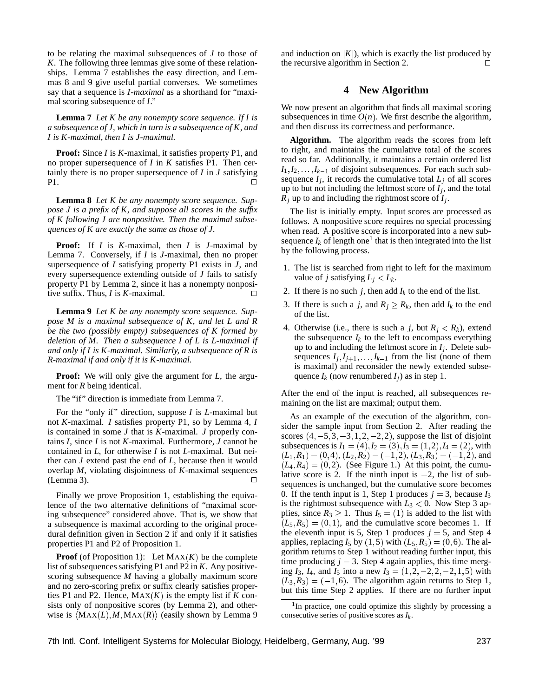to be relating the maximal subsequences of *J* to those of *K*. The following three lemmas give some of these relationships. Lemma 7 establishes the easy direction, and Lemmas 8 and 9 give useful partial converses. We sometimes say that a sequence is *I-maximal* as a shorthand for "maximal scoring subsequence of *I*."

**Lemma 7** *Let K be any nonempty score sequence. If I is a subsequence of J, which in turn is a subsequence of K, and I is K-maximal, then I is J-maximal.*

**Proof:** Since *I* is *K*-maximal, it satisfies property P1, and no proper supersequence of *I* in *K* satisfies P1. Then certainly there is no proper supersequence of *I* in *J* satisfying  $P1.$ 

**Lemma 8** *Let K be any nonempty score sequence. Suppose J is a prefix of K, and suppose all scores in the suffix of K following J are nonpositive. Then the maximal subsequences of K are exactly the same as those of J.*

**Proof:** If *I* is *K*-maximal, then *I* is *J*-maximal by Lemma 7. Conversely, if *I* is *J*-maximal, then no proper supersequence of *I* satisfying property P1 exists in *J*, and every supersequence extending outside of *J* fails to satisfy property P1 by Lemma 2, since it has a nonempty nonpositive suffix. Thus, *I* is *K*-maximal.  $\Box$ 

**Lemma 9** *Let K be any nonempty score sequence. Suppose M is a maximal subsequence of K, and let L and R be the two (possibly empty) subsequences of K formed by deletion of M. Then a subsequence I of L is L-maximal if and only if I is K-maximal. Similarly, a subsequence of R is R-maximal if and only if it is K-maximal.*

**Proof:** We will only give the argument for *L*, the argument for *R* being identical.

The "if" direction is immediate from Lemma 7.

For the "only if" direction, suppose *I* is *L*-maximal but not *K*-maximal. *I* satisfies property P1, so by Lemma 4, *I* is contained in some *J* that is *K*-maximal. *J* properly contains *I*, since *I* is not *K*-maximal. Furthermore, *J* cannot be contained in *L*, for otherwise *I* is not *L*-maximal. But neither can *J* extend past the end of *L*, because then it would overlap *M*, violating disjointness of *K*-maximal sequences  $(Lemma 3)$ .

Finally we prove Proposition 1, establishing the equivalence of the two alternative definitions of "maximal scoring subsequence" considered above. That is, we show that a subsequence is maximal according to the original procedural definition given in Section 2 if and only if it satisfies properties P1 and P2 of Proposition 1.

**Proof** (of Proposition 1): Let  $MAX(K)$  be the complete list of subsequences satisfying P1 and P2 in *K*. Any positivescoring subsequence *M* having a globally maximum score and no zero-scoring prefix or suffix clearly satisfies properties P1 and P2. Hence,  $MAX(K)$  is the empty list if *K* consists only of nonpositive scores (by Lemma 2), and otherwise is  $\langle \text{MAX}(L), M, \text{MAX}(R) \rangle$  (easily shown by Lemma 9

and induction on  $|K|$ ), which is exactly the list produced by the recursive algorithm in Section 2.  $\Box$ 

#### **4 New Algorithm**

We now present an algorithm that finds all maximal scoring subsequences in time  $O(n)$ . We first describe the algorithm, and then discuss its correctness and performance.

**Algorithm.** The algorithm reads the scores from left to right, and maintains the cumulative total of the scores read so far. Additionally, it maintains a certain ordered list  $I_1, I_2, \ldots, I_{k-1}$  of disjoint subsequences. For each such subsequence  $I_j$ , it records the cumulative total  $L_j$  of all scores up to but not including the leftmost score of *I<sup>j</sup>* , and the total *R<sup>j</sup>* up to and including the rightmost score of *I<sup>j</sup>* .

The list is initially empty. Input scores are processed as follows. A nonpositive score requires no special processing when read. A positive score is incorporated into a new subsequence  $I_k$  of length one<sup>1</sup> that is then integrated into the list by the following process.

- 1. The list is searched from right to left for the maximum value of *j* satisfying  $L_i < L_k$ .
- 2. If there is no such *j*, then add  $I_k$  to the end of the list.
- 3. If there is such a *j*, and  $R_j \geq R_k$ , then add  $I_k$  to the end of the list.
- 4. Otherwise (i.e., there is such a *j*, but  $R_j < R_k$ ), extend the subsequence  $I_k$  to the left to encompass everything up to and including the leftmost score in  $I_j$ . Delete subsequences  $I_j, I_{j+1}, \ldots, I_{k-1}$  from the list (none of them is maximal) and reconsider the newly extended subsequence  $I_k$  (now renumbered  $I_j$ ) as in step 1.

After the end of the input is reached, all subsequences remaining on the list are maximal; output them.

As an example of the execution of the algorithm, consider the sample input from Section 2. After reading the scores  $(4, -5, 3, -3, 1, 2, -2, 2)$ , suppose the list of disjoint subsequences is  $I_1 = (4), I_2 = (3), I_3 = (1, 2), I_4 = (2)$ , with  $(L_1, R_1) = (0, 4), (L_2, R_2) = (-1, 2), (L_3, R_3) = (-1, 2)$ , and  $(L_4, R_4) = (0, 2)$ . (See Figure 1.) At this point, the cumulative score is 2. If the ninth input is  $-2$ , the list of subsequences is unchanged, but the cumulative score becomes 0. If the tenth input is 1, Step 1 produces  $j = 3$ , because  $I_3$ is the rightmost subsequence with  $L_3 < 0$ . Now Step 3 applies, since  $R_3 \ge 1$ . Thus  $I_5 = (1)$  is added to the list with  $(L_5, R_5) = (0, 1)$ , and the cumulative score becomes 1. If the eleventh input is 5, Step 1 produces  $j = 5$ , and Step 4 applies, replacing  $I_5$  by  $(1, 5)$  with  $(L_5, R_5) = (0, 6)$ . The algorithm returns to Step 1 without reading further input, this time producing  $j = 3$ . Step 4 again applies, this time merging  $I_3$ ,  $I_4$ , and  $I_5$  into a new  $I_3 = (1, 2, -2, 2, -2, 1, 5)$  with  $(L_3, R_3) = (-1, 6)$ . The algorithm again returns to Step 1, but this time Step 2 applies. If there are no further input

<sup>&</sup>lt;sup>1</sup>In practice, one could optimize this slightly by processing a consecutive series of positive scores as *I<sup>k</sup>* .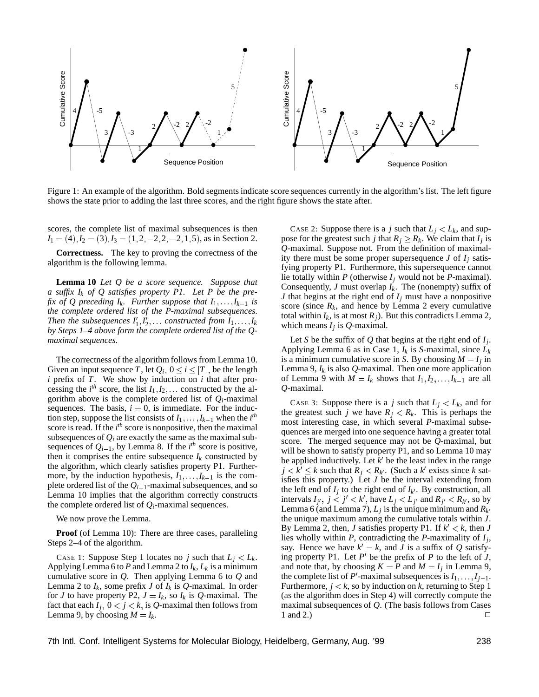

Figure 1: An example of the algorithm. Bold segments indicate score sequences currently in the algorithm's list. The left figure shows the state prior to adding the last three scores, and the right figure shows the state after.

scores, the complete list of maximal subsequences is then  $I_1 = (4), I_2 = (3), I_3 = (1, 2, -2, 2, -2, 1, 5)$ , as in Section 2.

**Correctness.** The key to proving the correctness of the algorithm is the following lemma.

**Lemma 10** *Let Q be a score sequence. Suppose that a suffix I<sup>k</sup> of Q satisfies property P1. Let P be the prefix of Q preceding*  $I_k$ *. Further suppose that*  $I_1, \ldots, I_{k-1}$  *is the complete ordered list of the P-maximal subsequences. Then the subsequences*  $I'_1, I'_2, \ldots$  constructed from  $I_1, \ldots, I_k$ *by Steps 1–4 above form the complete ordered list of the Qmaximal sequences.*

The correctness of the algorithm follows from Lemma 10. Given an input sequence *T*, let  $Q_i$ ,  $0 \le i \le |T|$ , be the length *i* prefix of *T*. We show by induction on *i* that after processing the  $i^{th}$  score, the list  $I_1, I_2, \ldots$  constructed by the algorithm above is the complete ordered list of *Qi*-maximal sequences. The basis,  $i = 0$ , is immediate. For the induction step, suppose the list consists of  $I_1, \ldots, I_{k-1}$  when the  $i^{th}$ score is read. If the *i*<sup>th</sup> score is nonpositive, then the maximal subsequences of  $Q_i$  are exactly the same as the maximal subsequences of  $Q_{i-1}$ , by Lemma 8. If the  $i^{th}$  score is positive, then it comprises the entire subsequence  $I_k$  constructed by the algorithm, which clearly satisfies property P1. Furthermore, by the induction hypothesis,  $I_1, \ldots, I_{k-1}$  is the complete ordered list of the  $Q_{i-1}$ -maximal subsequences, and so Lemma 10 implies that the algorithm correctly constructs the complete ordered list of  $Q_i$ -maximal sequences.

We now prove the Lemma.

**Proof** (of Lemma 10): There are three cases, paralleling Steps 2–4 of the algorithm.

CASE 1: Suppose Step 1 locates no *j* such that  $L_j < L_k$ . Applying Lemma 6 to *P* and Lemma 2 to *Ik*, *L<sup>k</sup>* is a minimum cumulative score in *Q*. Then applying Lemma 6 to *Q* and Lemma 2 to  $I_k$ , some prefix *J* of  $I_k$  is *Q*-maximal. In order for *J* to have property P2,  $J = I_k$ , so  $I_k$  is Q-maximal. The fact that each  $I_j$ ,  $0 < j < k$ , is Q-maximal then follows from Lemma 9, by choosing  $M = I_k$ .

CASE 2: Suppose there is a *j* such that  $L_i < L_k$ , and suppose for the greatest such *j* that  $R_j \geq R_k$ . We claim that  $I_j$  is *Q*-maximal. Suppose not. From the definition of maximality there must be some proper supersequence  $J$  of  $I_i$  satisfying property P1. Furthermore, this supersequence cannot lie totally within  $P$  (otherwise  $I_i$  would not be  $P$ -maximal). Consequently, *J* must overlap  $I_k$ . The (nonempty) suffix of *J* that begins at the right end of *I<sup>j</sup>* must have a nonpositive score (since  $R_k$ , and hence by Lemma 2 every cumulative total within  $I_k$ , is at most  $R_j$ ). But this contradicts Lemma 2, which means *I<sup>j</sup>* is *Q*-maximal.

Let *S* be the suffix of *Q* that begins at the right end of *I<sup>j</sup>* . Applying Lemma 6 as in Case 1, *I<sup>k</sup>* is *S*-maximal, since *L<sup>k</sup>* is a minimum cumulative score in *S*. By choosing  $M = I_j$  in Lemma 9,  $I_k$  is also  $Q$ -maximal. Then one more application of Lemma 9 with  $M = I_k$  shows that  $I_1, I_2, \ldots, I_{k-1}$  are all *Q*-maximal.

CASE 3: Suppose there is a *j* such that  $L_i < L_k$ , and for the greatest such *j* we have  $R_i < R_k$ . This is perhaps the most interesting case, in which several *P*-maximal subsequences are merged into one sequence having a greater total score. The merged sequence may not be *Q*-maximal, but will be shown to satisfy property P1, and so Lemma 10 may be applied inductively. Let  $k'$  be the least index in the range  $j < k' \leq k$  such that  $R_j < R_{k'}$ . (Such a  $k'$  exists since  $k$  satisfies this property.) Let *J* be the interval extending from the left end of  $I_j$  to the right end of  $I_{k'}$ . By construction, all intervals  $I_{j'}$ ,  $j < j' < k'$ , have  $L_j < L_{j'}$  and  $R_{j'} < R_{k'}$ , so by Lemma 6 (and Lemma 7),  $L_j$  is the unique minimum and  $R_{k'}$ the unique maximum among the cumulative totals within *J*. By Lemma 2, then, *J* satisfies property P1. If  $k' < k$ , then *J* lies wholly within *P*, contradicting the *P*-maximality of *I<sup>j</sup>* , say. Hence we have  $k' = k$ , and *J* is a suffix of *Q* satisfying property P1. Let  $P'$  be the prefix of P to the left of *J*, and note that, by choosing  $K = P$  and  $M = I_j$  in Lemma 9, the complete list of  $P'$ -maximal subsequences is  $I_1, \ldots, I_{j-1}$ . Furthermore,  $j < k$ , so by induction on  $k$ , returning to Step 1 (as the algorithm does in Step 4) will correctly compute the maximal subsequences of *Q*. (The basis follows from Cases 1 and 2.)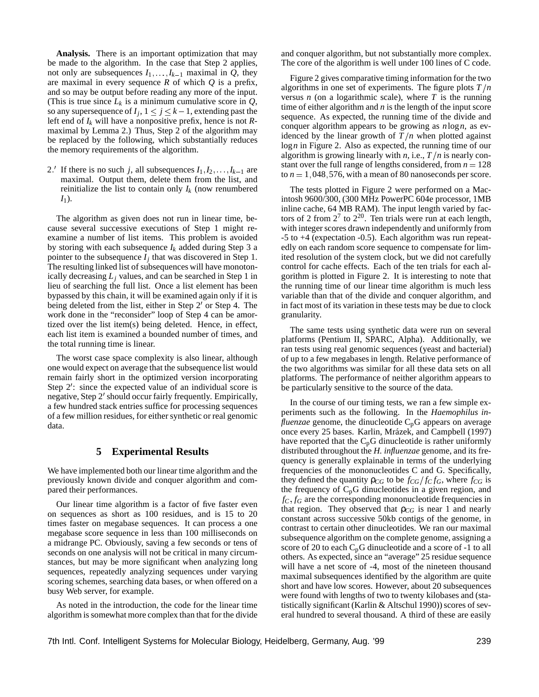**Analysis.** There is an important optimization that may be made to the algorithm. In the case that Step 2 applies, not only are subsequences  $I_1, \ldots, I_{k-1}$  maximal in *Q*, they are maximal in every sequence *R* of which *Q* is a prefix, and so may be output before reading any more of the input. (This is true since  $L_k$  is a minimum cumulative score in  $Q$ , so any supersequence of  $I_j$ ,  $1 \le j \le k-1$ , extending past the left end of *I<sup>k</sup>* will have a nonpositive prefix, hence is not *R*maximal by Lemma 2.) Thus, Step 2 of the algorithm may be replaced by the following, which substantially reduces the memory requirements of the algorithm.

2. If there is no such *j*, all subsequences  $I_1, I_2, \ldots, I_{k-1}$  are maximal. Output them, delete them from the list, and reinitialize the list to contain only  $I_k$  (now renumbered *I*1).

The algorithm as given does not run in linear time, because several successive executions of Step 1 might reexamine a number of list items. This problem is avoided by storing with each subsequence  $I_k$  added during Step 3 a pointer to the subsequence  $I_j$  that was discovered in Step 1. The resulting linked list of subsequences will have monotonically decreasing  $L_i$  values, and can be searched in Step 1 in lieu of searching the full list. Once a list element has been bypassed by this chain, it will be examined again only if it is being deleted from the list, either in Step  $2'$  or Step 4. The work done in the "reconsider" loop of Step 4 can be amortized over the list item(s) being deleted. Hence, in effect, each list item is examined a bounded number of times, and the total running time is linear.

The worst case space complexity is also linear, although one would expect on average that the subsequence list would remain fairly short in the optimized version incorporating Step  $2'$ : since the expected value of an individual score is negative, Step 2' should occur fairly frequently. Empirically, a few hundred stack entries suffice for processing sequences of a few million residues, for either synthetic or real genomic data.

### **5 Experimental Results**

We have implemented both our linear time algorithm and the previously known divide and conquer algorithm and compared their performances.

Our linear time algorithm is a factor of five faster even on sequences as short as 100 residues, and is 15 to 20 times faster on megabase sequences. It can process a one megabase score sequence in less than 100 milliseconds on a midrange PC. Obviously, saving a few seconds or tens of seconds on one analysis will not be critical in many circumstances, but may be more significant when analyzing long sequences, repeatedly analyzing sequences under varying scoring schemes, searching data bases, or when offered on a busy Web server, for example.

As noted in the introduction, the code for the linear time algorithm is somewhat more complex than that for the divide

and conquer algorithm, but not substantially more complex. The core of the algorithm is well under 100 lines of C code.

Figure 2 gives comparative timing information for the two algorithms in one set of experiments. The figure plots  $T/n$ versus  $n$  (on a logarithmic scale), where  $T$  is the running time of either algorithm and *n* is the length of the input score sequence. As expected, the running time of the divide and conquer algorithm appears to be growing as *n*log*n*, as evidenced by the linear growth of  $T/n$  when plotted against log*n* in Figure 2. Also as expected, the running time of our algorithm is growing linearly with *n*, i.e.,  $T/n$  is nearly constant over the full range of lengths considered, from  $n = 128$ to  $n = 1,048,576$ , with a mean of 80 nanoseconds per score.

The tests plotted in Figure 2 were performed on a Macintosh 9600/300, (300 MHz PowerPC 604e processor, 1MB inline cache, 64 MB RAM). The input length varied by factors of 2 from  $2^7$  to  $2^{20}$ . Ten trials were run at each length, with integer scores drawn independently and uniformly from -5 to +4 (expectation -0.5). Each algorithm was run repeatedly on each random score sequence to compensate for limited resolution of the system clock, but we did not carefully control for cache effects. Each of the ten trials for each algorithm is plotted in Figure 2. It is interesting to note that the running time of our linear time algorithm is much less variable than that of the divide and conquer algorithm, and in fact most of its variation in these tests may be due to clock granularity.

The same tests using synthetic data were run on several platforms (Pentium II, SPARC, Alpha). Additionally, we ran tests using real genomic sequences (yeast and bacterial) of up to a few megabases in length. Relative performance of the two algorithms was similar for all these data sets on all platforms. The performance of neither algorithm appears to be particularly sensitive to the source of the data.

In the course of our timing tests, we ran a few simple experiments such as the following. In the *Haemophilus influenzae* genome, the dinucleotide  $C_pG$  appears on average once every 25 bases. Karlin, Mrázek, and Campbell (1997) have reported that the  $C_pG$  dinucleotide is rather uniformly distributed throughout the *H. influenzae* genome, and its frequency is generally explainable in terms of the underlying frequencies of the mononucleotides C and G. Specifically, they defined the quantity  $\rho_{CG}$  to be  $f_{CG}/f_{CG}$ , where  $f_{CG}$  is the frequency of  $C_p$ G dinucleotides in a given region, and  $f_C, f_G$  are the corresponding mononucleotide frequencies in that region. They observed that  $\rho_{CG}$  is near 1 and nearly constant across successive 50kb contigs of the genome, in contrast to certain other dinucleotides. We ran our maximal subsequence algorithm on the complete genome, assigning a score of 20 to each  $C_p$ G dinucleotide and a score of -1 to all others. As expected, since an "average" 25 residue sequence will have a net score of -4, most of the nineteen thousand maximal subsequences identified by the algorithm are quite short and have low scores. However, about 20 subsequences were found with lengths of two to twenty kilobases and (statistically significant (Karlin & Altschul 1990)) scores of several hundred to several thousand. A third of these are easily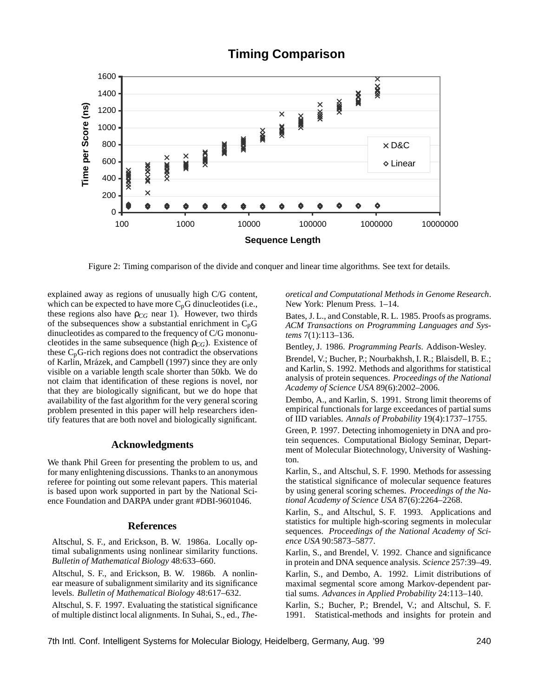# **Timing Comparison**



Figure 2: Timing comparison of the divide and conquer and linear time algorithms. See text for details.

explained away as regions of unusually high C/G content, which can be expected to have more  $C_pG$  dinucleotides (i.e., these regions also have  $\rho_{CG}$  near 1). However, two thirds of the subsequences show a substantial enrichment in  $C_p$ G dinucleotides as compared to the frequency of C/G mononucleotides in the same subsequence (high  $\rho_{CG}$ ). Existence of these  $C_p$ G-rich regions does not contradict the observations of Karlin, Mrázek, and Campbell (1997) since they are only visible on a variable length scale shorter than 50kb. We do not claim that identification of these regions is novel, nor that they are biologically significant, but we do hope that availability of the fast algorithm for the very general scoring problem presented in this paper will help researchers identify features that are both novel and biologically significant.

#### **Acknowledgments**

We thank Phil Green for presenting the problem to us, and for many enlightening discussions. Thanks to an anonymous referee for pointing out some relevant papers. This material is based upon work supported in part by the National Science Foundation and DARPA under grant #DBI-9601046.

#### **References**

Altschul, S. F., and Erickson, B. W. 1986a. Locally optimal subalignments using nonlinear similarity functions. *Bulletin of Mathematical Biology* 48:633–660.

Altschul, S. F., and Erickson, B. W. 1986b. A nonlinear measure of subalignment similarity and its significance levels. *Bulletin of Mathematical Biology* 48:617–632.

Altschul, S. F. 1997. Evaluating the statistical significance of multiple distinct local alignments. In Suhai, S., ed., *The-* *oretical and Computational Methods in Genome Research*. New York: Plenum Press. 1–14.

Bates, J. L., and Constable, R. L. 1985. Proofs as programs. *ACM Transactions on Programming Languages and Systems* 7(1):113–136.

Bentley, J. 1986. *Programming Pearls*. Addison-Wesley.

Brendel, V.; Bucher, P.; Nourbakhsh, I. R.; Blaisdell, B. E.; and Karlin, S. 1992. Methods and algorithms for statistical analysis of protein sequences. *Proceedings of the National Academy of Science USA* 89(6):2002–2006.

Dembo, A., and Karlin, S. 1991. Strong limit theorems of empirical functionals for large exceedances of partial sums of IID variables. *Annals of Probability* 19(4):1737–1755.

Green, P. 1997. Detecting inhomogeniety in DNA and protein sequences. Computational Biology Seminar, Department of Molecular Biotechnology, University of Washington.

Karlin, S., and Altschul, S. F. 1990. Methods for assessing the statistical significance of molecular sequence features by using general scoring schemes. *Proceedings of the National Academy of Science USA* 87(6):2264–2268.

Karlin, S., and Altschul, S. F. 1993. Applications and statistics for multiple high-scoring segments in molecular sequences. *Proceedings of the National Academy of Science USA* 90:5873–5877.

Karlin, S., and Brendel, V. 1992. Chance and significance in protein and DNA sequence analysis. *Science* 257:39–49.

Karlin, S., and Dembo, A. 1992. Limit distributions of maximal segmental score among Markov-dependent partial sums. *Advances in Applied Probability* 24:113–140.

Karlin, S.; Bucher, P.; Brendel, V.; and Altschul, S. F. 1991. Statistical-methods and insights for protein and